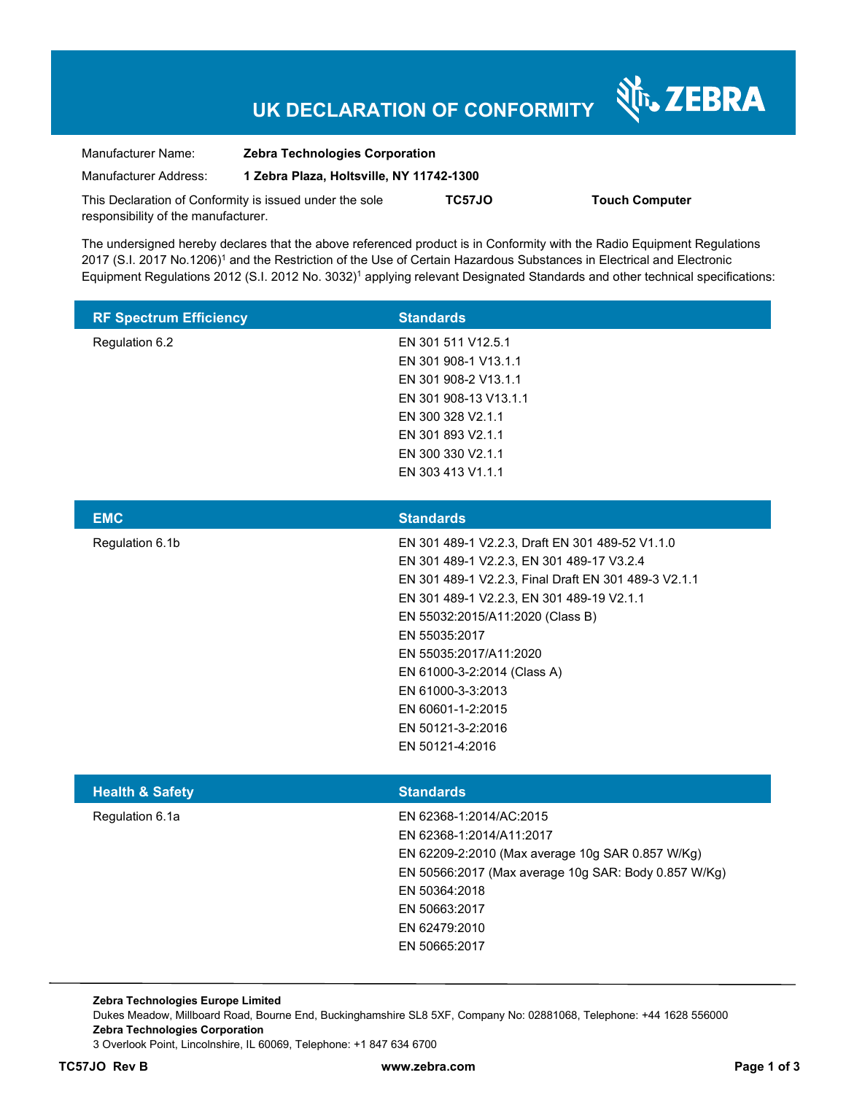# **UK DECLARATION OF CONFORMITY**

Nr. ZEBRA

| Manufacturer Name:                  | <b>Zebra Technologies Corporation</b>                   |        |                       |
|-------------------------------------|---------------------------------------------------------|--------|-----------------------|
| Manufacturer Address:               | 1 Zebra Plaza, Holtsville, NY 11742-1300                |        |                       |
|                                     | This Declaration of Conformity is issued under the sole | TC57JO | <b>Touch Computer</b> |
| responsibility of the manufacturer. |                                                         |        |                       |

The undersigned hereby declares that the above referenced product is in Conformity with the Radio Equipment Regulations 2017 (S.I. 2017 No.1206)<sup>1</sup> and the Restriction of the Use of Certain Hazardous Substances in Electrical and Electronic Equipment Regulations 2012 (S.I. 2012 No. 3032)<sup>1</sup> applying relevant Designated Standards and other technical specifications:

| <b>RF Spectrum Efficiency</b> | <b>Standards</b>      |
|-------------------------------|-----------------------|
| Regulation 6.2                | EN 301 511 V12.5.1    |
|                               | EN 301 908-1 V13.1.1  |
|                               | EN 301 908-2 V13.1.1  |
|                               | EN 301 908-13 V13.1.1 |
|                               | EN 300 328 V2.1.1     |
|                               | EN 301 893 V2.1.1     |
|                               | EN 300 330 V2.1.1     |
|                               | EN 303 413 V1.1.1     |

| <b>EMC</b>      | <b>Standards</b>                                     |
|-----------------|------------------------------------------------------|
| Regulation 6.1b | EN 301 489-1 V2.2.3, Draft EN 301 489-52 V1.1.0      |
|                 | EN 301 489-1 V2.2.3, EN 301 489-17 V3.2.4            |
|                 | EN 301 489-1 V2.2.3, Final Draft EN 301 489-3 V2.1.1 |
|                 | EN 301 489-1 V2.2.3, EN 301 489-19 V2.1.1            |
|                 | EN 55032:2015/A11:2020 (Class B)                     |
|                 | EN 55035:2017                                        |
|                 | EN 55035:2017/A11:2020                               |
|                 | EN 61000-3-2:2014 (Class A)                          |
|                 | EN 61000-3-3:2013                                    |
|                 | EN 60601-1-2:2015                                    |
|                 | EN 50121-3-2:2016                                    |
|                 | EN 50121-4:2016                                      |
|                 |                                                      |

| <b>Health &amp; Safety</b> | <b>Standards</b>                                     |
|----------------------------|------------------------------------------------------|
| Regulation 6.1a            | EN 62368-1:2014/AC:2015                              |
|                            | EN 62368-1:2014/A11:2017                             |
|                            | EN 62209-2:2010 (Max average 10g SAR 0.857 W/Kg)     |
|                            | EN 50566:2017 (Max average 10g SAR: Body 0.857 W/Kg) |
|                            | EN 50364:2018                                        |
|                            | EN 50663:2017                                        |
|                            | EN 62479:2010                                        |
|                            | EN 50665:2017                                        |

**Zebra Technologies Europe Limited**  Dukes Meadow, Millboard Road, Bourne End, Buckinghamshire SL8 5XF, Company No: 02881068, Telephone: +44 1628 556000 **Zebra Technologies Corporation**  3 Overlook Point, Lincolnshire, IL 60069, Telephone: +1 847 634 6700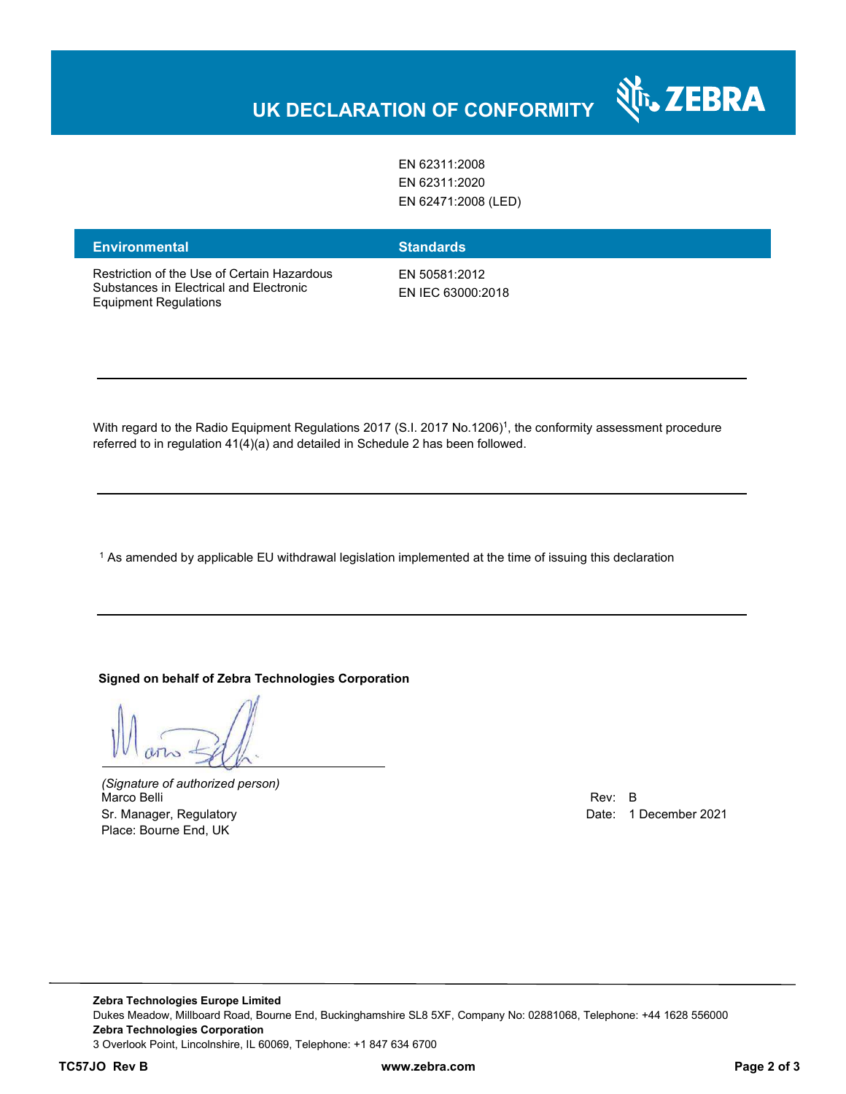

EN 62311:2008 EN 62311:2020 EN 62471:2008 (LED)

| <b>Environmental</b>                                                                                                   | <b>Standards</b>                   |
|------------------------------------------------------------------------------------------------------------------------|------------------------------------|
| Restriction of the Use of Certain Hazardous<br>Substances in Electrical and Electronic<br><b>Equipment Regulations</b> | EN 50581:2012<br>EN IEC 63000:2018 |

With regard to the Radio Equipment Regulations 2017 (S.I. 2017 No.1206)<sup>1</sup>, the conformity assessment procedure referred to in regulation 41(4)(a) and detailed in Schedule 2 has been followed.

 $^{\rm 1}$  As amended by applicable EU withdrawal legislation implemented at the time of issuing this declaration

#### **Signed on behalf of Zebra Technologies Corporation**

 $112$ 

*(Signature of authorized person)* Marco Belli Rev: B Sr. Manager, Regulatory **Date: 1 December 2021** Control of the United States of the Date: 1 December 2021 Place: Bourne End, UK